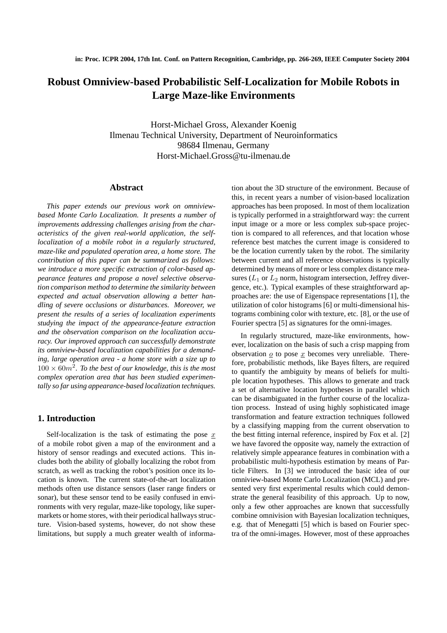# **Robust Omniview-based Probabilistic Self-Localization for Mobile Robots in Large Maze-like Environments**

Horst-Michael Gross, Alexander Koenig Ilmenau Technical University, Department of Neuroinformatics 98684 Ilmenau, Germany Horst-Michael.Gross@tu-ilmenau.de

#### **Abstract**

*This paper extends our previous work on omniviewbased Monte Carlo Localization. It presents a number of improvements addressing challenges arising from the characteristics of the given real-world application, the selflocalization of a mobile robot in a regularly structured, maze-like and populated operation area, a home store. The contribution of this paper can be summarized as follows: we introduce a more specific extraction of color-based appearance features and propose a novel selective observation comparison method to determine the similarity between expected and actual observation allowing a better handling of severe occlusions or disturbances. Moreover, we present the results of a series of localization experiments studying the impact of the appearance-feature extraction and the observation comparison on the localization accuracy. Our improved approach can successfully demonstrate its omniview-based localization capabilities for a demanding, large operation area - a home store with a size up to*  $100 \times 60 m^2$ . To the best of our knowledge, this is the most *complex operation area that has been studied experimentally so far using appearance-based localization techniques.*

## **1. Introduction**

Self-localization is the task of estimating the pose  $x$ of a mobile robot given a map of the environment and a history of sensor readings and executed actions. This includes both the ability of globally localizing the robot from scratch, as well as tracking the robot's position once its location is known. The current state-of-the-art localization methods often use distance sensors (laser range finders or sonar), but these sensor tend to be easily confused in environments with very regular, maze-like topology, like supermarkets or home stores, with their periodical hallways structure. Vision-based systems, however, do not show these limitations, but supply a much greater wealth of information about the 3D structure of the environment. Because of this, in recent years a number of vision-based localization approaches has been proposed. In most of them localization is typically performed in a straightforward way: the current input image or a more or less complex sub-space projection is compared to all references, and that location whose reference best matches the current image is considered to be the location currently taken by the robot. The similarity between current and all reference observations is typically determined by means of more or less complex distance measures ( $L_1$  or  $L_2$  norm, histogram intersection, Jeffrey divergence, etc.). Typical examples of these straightforward approaches are: the use of Eigenspace representations [1], the utilization of color histograms [6] or multi-dimensional histograms combining color with texture, etc. [8], or the use of Fourier spectra [5] as signatures for the omni-images.

In regularly structured, maze-like environments, however, localization on the basis of such a crisp mapping from observation  $\sigma$  to pose  $x$  becomes very unreliable. Therefore, probabilistic methods, like Bayes filters, are required to quantify the ambiguity by means of beliefs for multiple location hypotheses. This allows to generate and track a set of alternative location hypotheses in parallel which can be disambiguated in the further course of the localization process. Instead of using highly sophisticated image transformation and feature extraction techniques followed by a classifying mapping from the current observation to the best fitting internal reference, inspired by Fox et al. [2] we have favored the opposite way, namely the extraction of relatively simple appearance features in combination with a probabilistic multi-hypothesis estimation by means of Particle Filters. In [3] we introduced the basic idea of our omniview-based Monte Carlo Localization (MCL) and presented very first experimental results which could demonstrate the general feasibility of this approach. Up to now, only a few other approaches are known that successfully combine omnivision with Bayesian localization techniques, e.g. that of Menegatti [5] which is based on Fourier spectra of the omni-images. However, most of these approaches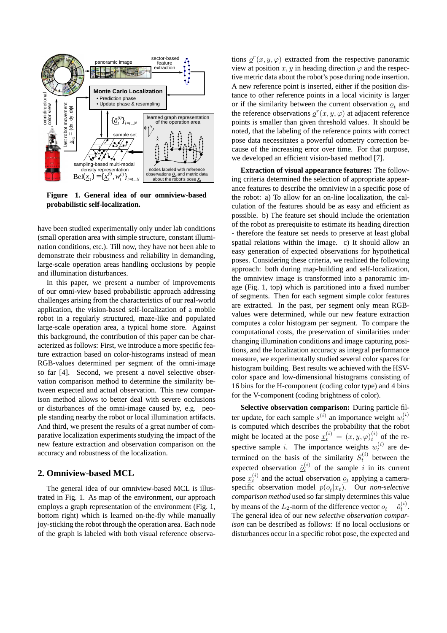

**Figure 1. General idea of our omniview-based probabilistic self-localization.**

have been studied experimentally only under lab conditions (small operation area with simple structure, constant illumination conditions, etc.). Till now, they have not been able to demonstrate their robustness and reliability in demanding, large-scale operation areas handling occlusions by people and illumination disturbances.

In this paper, we present a number of improvements of our omni-view based probabilistic approach addressing challenges arising from the characteristics of our real-world application, the vision-based self-localization of a mobile robot in a regularly structured, maze-like and populated large-scale operation area, a typical home store. Against this background, the contribution of this paper can be characterized as follows: First, we introduce a more specific feature extraction based on color-histograms instead of mean RGB-values determined per segment of the omni-image so far [4]. Second, we present a novel selective observation comparison method to determine the similarity between expected and actual observation. This new comparison method allows to better deal with severe occlusions or disturbances of the omni-image caused by, e.g. people standing nearby the robot or local illumination artifacts. And third, we present the results of a great number of comparative localization experiments studying the impact of the new feature extraction and observation comparison on the accuracy and robustness of the localization.

## **2. Omniview-based MCL**

The general idea of our omniview-based MCL is illustrated in Fig. 1. As map of the environment, our approach employs a graph representation of the environment (Fig. 1, bottom right) which is learned on-the-fly while manually joy-sticking the robot through the operation area. Each node of the graph is labeled with both visual reference observa-

tions  $\varrho^{r}(x, y, \varphi)$  extracted from the respective panoramic view at position  $x, y$  in heading direction  $\varphi$  and the respective metric data about the robot's pose during node insertion. A new reference point is inserted, either if the position distance to other reference points in a local vicinity is larger or if the similarity between the current observation  $q_t$  and the reference observations  $\varrho^{r}(x, y, \varphi)$  at adjacent reference points is smaller than given threshold values. It should be noted, that the labeling of the reference points with correct pose data necessitates a powerful odometry correction because of the increasing error over time. For that purpose, we developed an efficient vision-based method [7].

**Extraction of visual appearance features:** The following criteria determined the selection of appropriate appearance features to describe the omniview in a specific pose of the robot: a) To allow for an on-line localization, the calculation of the features should be as easy and efficient as possible. b) The feature set should include the orientation of the robot as prerequisite to estimate its heading direction - therefore the feature set needs to preserve at least global spatial relations within the image. c) It should allow an easy generation of expected observations for hypothetical poses. Considering these criteria, we realized the following approach: both during map-building and self-localization, the omniview image is transformed into a panoramic image (Fig. 1, top) which is partitioned into a fixed number of segments. Then for each segment simple color features are extracted. In the past, per segment only mean RGBvalues were determined, while our new feature extraction computes a color histogram per segment. To compare the computational costs, the preservation of similarities under changing illumination conditions and image capturing positions, and the localization accuracy as integral performance measure, we experimentally studied several color spaces for histogram building. Best results we achieved with the HSVcolor space and low-dimensional histograms consisting of 16 bins for the H-component (coding color type) and 4 bins for the V-component (coding brightness of color).

**Selective observation comparison:** During particle filter update, for each sample  $s^{(i)}$  an importance weight  $w_t^{(i)}$ is computed which describes the probability that the robot might be located at the pose  $\underline{x}_t^{(i)} = (x, y, \varphi)_t^{(i)}$  of the respective sample *i*. The importance weights  $w_t^{(i)}$  are determined on the basis of the similarity  $S_t^{(i)}$  between the expected observation  $\hat{Q}_t^{(i)}$  of the sample i in its current pose  $\underline{x}_t^{(i)}$  and the actual observation  $\underline{o}_t$  applying a cameraspecific observation model  $p(\mathbf{Q}_t | x_t)$ . Our *non-selective comparison method* used so far simply determines this value by means of the  $L_2$ -norm of the difference vector  $\underline{o}_t - \hat{\underline{o}}_t^{(i)}$ . The general idea of our new *selective observation comparison* can be described as follows: If no local occlusions or disturbances occur in a specific robot pose, the expected and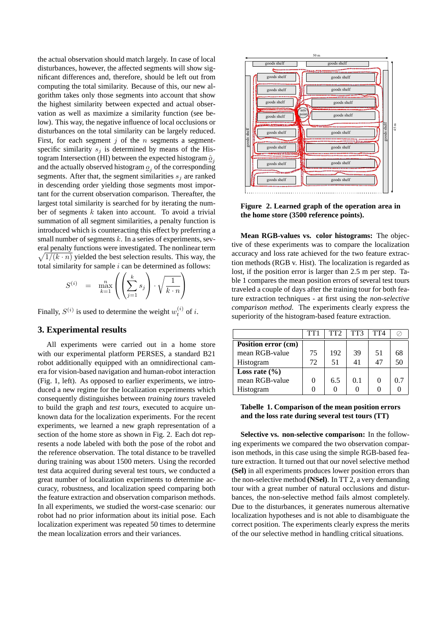the actual observation should match largely. In case of local disturbances, however, the affected segments will show significant differences and, therefore, should be left out from computing the total similarity. Because of this, our new algorithm takes only those segments into account that show the highest similarity between expected and actual observation as well as maximize a similarity function (see below). This way, the negative influence of local occlusions or disturbances on the total similarity can be largely reduced. First, for each segment  $j$  of the n segments a segmentspecific similarity  $s_i$  is determined by means of the Histogram Intersection (HI) between the expected histogram  $\hat{\rho}_i$ and the actually observed histogram  $\mathcal{Q}_j$  of the corresponding segments. After that, the segment similarities  $s_i$  are ranked in descending order yielding those segments most important for the current observation comparison. Thereafter, the largest total similarity is searched for by iterating the number of segments  $k$  taken into account. To avoid a trivial summation of all segment similarities, a penalty function is introduced which is counteracting this effect by preferring a small number of segments  $k$ . In a series of experiments, several penalty functions were investigated. The nonlinear term  $\sqrt{1/(k \cdot n)}$  yielded the best selection results. This way, the total similarity for sample  $i$  can be determined as follows:

$$
S^{(i)} = \max_{k=1}^n \left( \left( \sum_{j=1}^k s_j \right) \cdot \sqrt{\frac{1}{k \cdot n}} \right)
$$

Finally,  $S^{(i)}$  is used to determine the weight  $w_t^{(i)}$  of i.

#### **3. Experimental results**

All experiments were carried out in a home store with our experimental platform PERSES, a standard B21 robot additionally equipped with an omnidirectional camera for vision-based navigation and human-robot interaction (Fig. 1, left). As opposed to earlier experiments, we introduced a new regime for the localization experiments which consequently distinguishes between *training tours* traveled to build the graph and *test tours*, executed to acquire unknown data for the localization experiments. For the recent experiments, we learned a new graph representation of a section of the home store as shown in Fig. 2. Each dot represents a node labeled with both the pose of the robot and the reference observation. The total distance to be travelled during training was about 1500 meters. Using the recorded test data acquired during several test tours, we conducted a great number of localization experiments to determine accuracy, robustness, and localization speed comparing both the feature extraction and observation comparison methods. In all experiments, we studied the worst-case scenario: our robot had no prior information about its initial pose. Each localization experiment was repeated 50 times to determine the mean localization errors and their variances.



**Figure 2. Learned graph of the operation area in the home store (3500 reference points).**

**Mean RGB-values vs. color histograms:** The objective of these experiments was to compare the localization accuracy and loss rate achieved for the two feature extraction methods (RGB v. Hist). The localization is regarded as lost, if the position error is larger than 2.5 m per step. Table 1 compares the mean position errors of several test tours traveled a couple of days after the training tour for both feature extraction techniques - at first using the *non-selective comparison method*. The experiments clearly express the superiority of the histogram-based feature extraction.

|                     | TT <sub>1</sub> | TT <sub>2</sub> | TT3 | TT4          |    |
|---------------------|-----------------|-----------------|-----|--------------|----|
| Position error (cm) |                 |                 |     |              |    |
| mean RGB-value      | 75              | 192             | 39  | 51           | 68 |
| Histogram           | 72              | 51              | 41  | 47           | 50 |
| Loss rate $(\% )$   |                 |                 |     |              |    |
| mean RGB-value      | $\mathbf{0}$    | 6.5             | 0.1 | $\mathbf{0}$ | 07 |
| Histogram           |                 |                 |     |              |    |

**Tabelle 1. Comparison of the mean position errors and the loss rate during several test tours (TT)**

**Selective vs. non-selective comparison:** In the following experiments we compared the two observation comparison methods, in this case using the simple RGB-based feature extraction. It turned out that our novel selective method **(Sel)** in all experiments produces lower position errors than the non-selective method **(NSel)**. In TT 2, a very demanding tour with a great number of natural occlusions and disturbances, the non-selective method fails almost completely. Due to the disturbances, it generates numerous alternative localization hypotheses and is not able to disambiguate the correct position. The experiments clearly express the merits of the our selective method in handling critical situations.